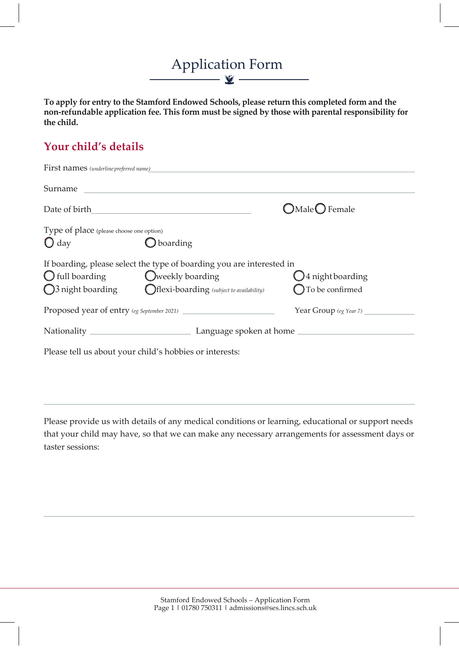### Application Form V

**To apply for entry to the Stamford Endowed Schools, please return this completed form and the non-refundable application fee. This form must be signed by those with parental responsibility for the child.**

# **Your child's details**

|                                                            | <b>First names</b> (underline preferred name)                                                                                                            |                                                         |
|------------------------------------------------------------|----------------------------------------------------------------------------------------------------------------------------------------------------------|---------------------------------------------------------|
| Surname                                                    |                                                                                                                                                          |                                                         |
| Date of birth                                              |                                                                                                                                                          | $OMale$ Female                                          |
| Type of place (please choose one option)<br>$\bigcirc$ day | boarding                                                                                                                                                 |                                                         |
| $\bigcirc$ full boarding $\bigcirc$ weekly boarding        | If boarding, please select the type of boarding you are interested in<br>$\bigcirc$ 3 night boarding $\bigcirc$ flexi-boarding (subject to availability) | $\bigcup$ 4 night boarding<br>$\bigcap$ To be confirmed |
|                                                            | Proposed year of entry (eg September 2021)                                                                                                               | Year Group (eg Year 7)                                  |
|                                                            |                                                                                                                                                          |                                                         |
|                                                            | Please tell us about your child's hobbies or interests:                                                                                                  |                                                         |

Please provide us with details of any medical conditions or learning, educational or support needs that your child may have, so that we can make any necessary arrangements for assessment days or taster sessions: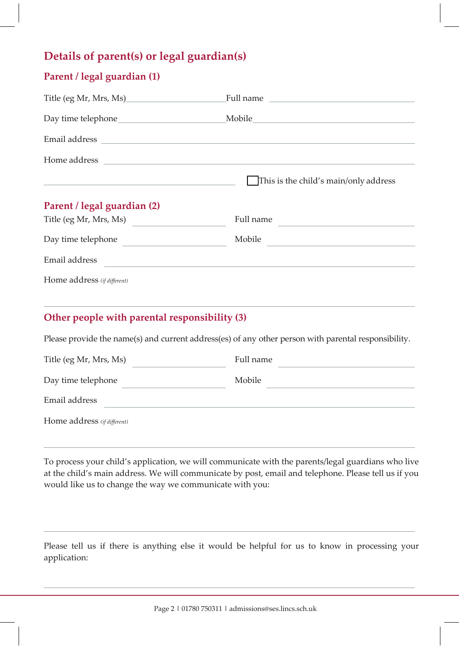## **Details of parent(s) or legal guardian(s)**

#### **Parent / legal guardian (1)**

| Title (eg Mr, Mrs, Ms)                                                                                                                | Full name                             |
|---------------------------------------------------------------------------------------------------------------------------------------|---------------------------------------|
|                                                                                                                                       |                                       |
|                                                                                                                                       |                                       |
|                                                                                                                                       |                                       |
|                                                                                                                                       | This is the child's main/only address |
| Parent / legal guardian (2)                                                                                                           |                                       |
| Title (eg Mr, Mrs, Ms)                                                                                                                | Full name                             |
| Day time telephone                                                                                                                    | Mobile                                |
| Email address<br><u> 1989 - Andrea Santa Andrea Andrea Andrea Andrea Andrea Andrea Andrea Andrea Andrea Andrea Andrea Andrea Andr</u> |                                       |
| Home address (if different)                                                                                                           |                                       |

#### **Other people with parental responsibility (3)**

Please provide the name(s) and current address(es) of any other person with parental responsibility.

| Title (eg Mr, Mrs, Ms)      | Full name |
|-----------------------------|-----------|
| Day time telephone          | Mobile    |
| Email address               |           |
| Home address (if different) |           |

To process your child's application, we will communicate with the parents/legal guardians who live at the child's main address. We will communicate by post, email and telephone. Please tell us if you would like us to change the way we communicate with you:

Please tell us if there is anything else it would be helpful for us to know in processing your application: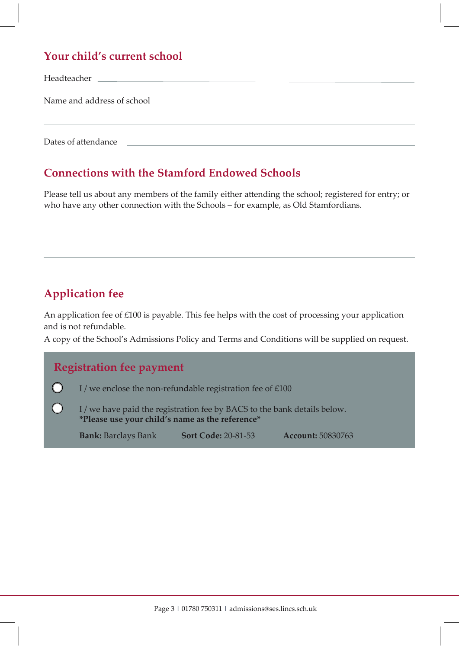### **Your child's current school**

Headteacher

Name and address of school

Dates of attendance

### **Connections with the Stamford Endowed Schools**

Please tell us about any members of the family either attending the school; registered for entry; or who have any other connection with the Schools – for example, as Old Stamfordians.

# **Application fee**

An application fee of £100 is payable. This fee helps with the cost of processing your application and is not refundable.

A copy of the School's Admissions Policy and Terms and Conditions will be supplied on request.

| <b>Registration fee payment</b> |                                                                                                                           |                                                          |                          |  |
|---------------------------------|---------------------------------------------------------------------------------------------------------------------------|----------------------------------------------------------|--------------------------|--|
|                                 |                                                                                                                           | I/we enclose the non-refundable registration fee of £100 |                          |  |
|                                 | I/we have paid the registration fee by BACS to the bank details below.<br>*Please use your child's name as the reference* |                                                          |                          |  |
|                                 | <b>Bank: Barclays Bank</b>                                                                                                | <b>Sort Code: 20-81-53</b>                               | <b>Account: 50830763</b> |  |